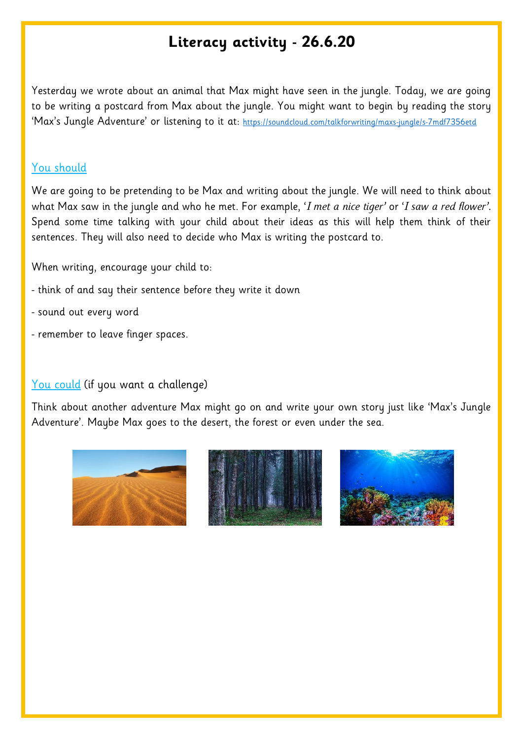## **Literacy activity - 26.6.20**

Yesterday we wrote about an animal that Max might have seen in the jungle. Today, we are going to be writing a postcard from Max about the jungle. You might want to begin by reading the story 'Max's Jungle Adventure' or listening to it at: <https://soundcloud.com/talkforwriting/maxs-jungle/s-7mdf7356etd>

## You should

We are going to be pretending to be Max and writing about the jungle. We will need to think about what Max saw in the jungle and who he met. For example, '*I met a nice tiger'* or '*I saw a red flower'.*  Spend some time talking with your child about their ideas as this will help them think of their sentences. They will also need to decide who Max is writing the postcard to.

When writing, encourage your child to:

- think of and say their sentence before they write it down
- sound out every word
- remember to leave finger spaces.

## You could (if you want a challenge)

Think about another adventure Max might go on and write your own story just like 'Max's Jungle Adventure'. Maybe Max goes to the desert, the forest or even under the sea.